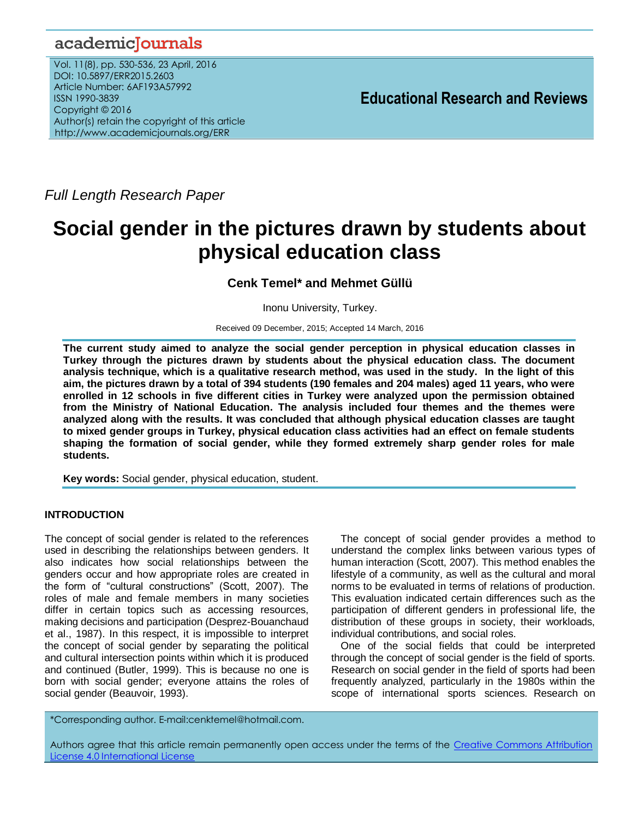# academicJournals

Vol. 11(8), pp. 530-536, 23 April, 2016 DOI: 10.5897/ERR2015.2603 Article Number: 6AF193A57992 ISSN 1990-3839 Copyright © 2016 Author(s) retain the copyright of this article http://www.academicjournals.org/ERR

**Educational Research and Reviews**

*Full Length Research Paper*

# **Social gender in the pictures drawn by students about physical education class**

**Cenk Temel\* and Mehmet Güllü**

Inonu University, Turkey.

Received 09 December, 2015; Accepted 14 March, 2016

**The current study aimed to analyze the social gender perception in physical education classes in Turkey through the pictures drawn by students about the physical education class. The document analysis technique, which is a qualitative research method, was used in the study. In the light of this aim, the pictures drawn by a total of 394 students (190 females and 204 males) aged 11 years, who were enrolled in 12 schools in five different cities in Turkey were analyzed upon the permission obtained from the Ministry of National Education. The analysis included four themes and the themes were analyzed along with the results. It was concluded that although physical education classes are taught to mixed gender groups in Turkey, physical education class activities had an effect on female students shaping the formation of social gender, while they formed extremely sharp gender roles for male students.**

**Key words:** Social gender, physical education, student.

# **INTRODUCTION**

The concept of social gender is related to the references used in describing the relationships between genders. It also indicates how social relationships between the genders occur and how appropriate roles are created in the form of "cultural constructions" (Scott, 2007). The roles of male and female members in many societies differ in certain topics such as accessing resources, making decisions and participation (Desprez-Bouanchaud et al., 1987). In this respect, it is impossible to interpret the concept of social gender by separating the political and cultural intersection points within which it is produced and continued (Butler, 1999). This is because no one is born with social gender; everyone attains the roles of social gender (Beauvoir, 1993).

The concept of social gender provides a method to understand the complex links between various types of human interaction (Scott, 2007). This method enables the lifestyle of a community, as well as the cultural and moral norms to be evaluated in terms of relations of production. This evaluation indicated certain differences such as the participation of different genders in professional life, the distribution of these groups in society, their workloads, individual contributions, and social roles.

One of the social fields that could be interpreted through the concept of social gender is the field of sports. Research on social gender in the field of sports had been frequently analyzed, particularly in the 1980s within the scope of international sports sciences. Research on

\*Corresponding author. E-mail:cenktemel@hotmail.com.

Authors agree that this article remain permanently open access under the terms of the Creative Commons Attribution [License 4.0 International License](file://192.168.1.24/reading/Arts%20and%20Education/ERR/2014/sept/read/Correction%20Pdf%201/ERR-17.04.14-1816/Publication/Creative%20Co)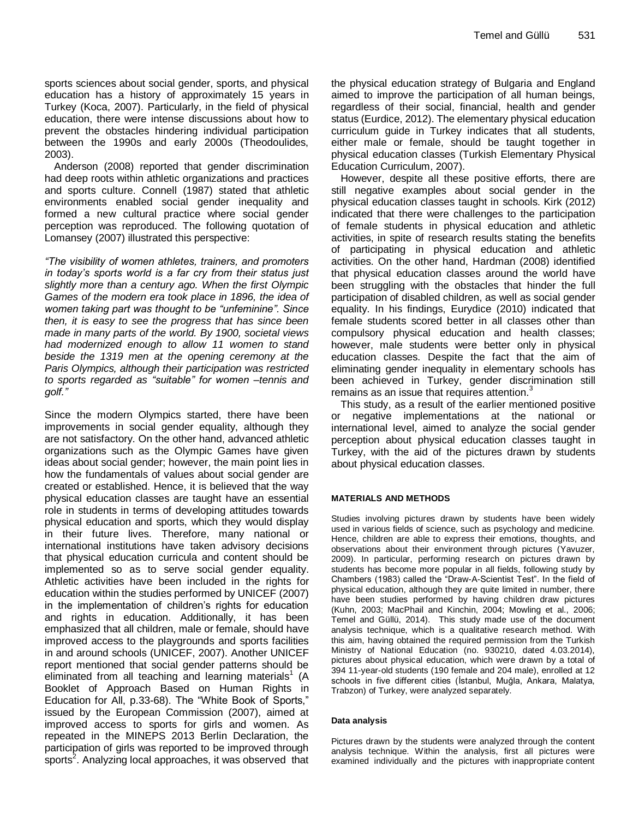sports sciences about social gender, sports, and physical education has a history of approximately 15 years in Turkey (Koca, 2007). Particularly, in the field of physical education, there were intense discussions about how to prevent the obstacles hindering individual participation between the 1990s and early 2000s (Theodoulides, 2003).

Anderson (2008) reported that gender discrimination had deep roots within athletic organizations and practices and sports culture. Connell (1987) stated that athletic environments enabled social gender inequality and formed a new cultural practice where social gender perception was reproduced. The following quotation of Lomansey (2007) illustrated this perspective:

*"The visibility of women athletes, trainers, and promoters in today's sports world is a far cry from their status just slightly more than a century ago. When the first Olympic Games of the modern era took place in 1896, the idea of women taking part was thought to be "unfeminine". Since then, it is easy to see the progress that has since been made in many parts of the world. By 1900, societal views had modernized enough to allow 11 women to stand beside the 1319 men at the opening ceremony at the Paris Olympics, although their participation was restricted to sports regarded as "suitable" for women –tennis and golf."*

Since the modern Olympics started, there have been improvements in social gender equality, although they are not satisfactory. On the other hand, advanced athletic organizations such as the Olympic Games have given ideas about social gender; however, the main point lies in how the fundamentals of values about social gender are created or established. Hence, it is believed that the way physical education classes are taught have an essential role in students in terms of developing attitudes towards physical education and sports, which they would display in their future lives. Therefore, many national or international institutions have taken advisory decisions that physical education curricula and content should be implemented so as to serve social gender equality. Athletic activities have been included in the rights for education within the studies performed by UNICEF (2007) in the implementation of children's rights for education and rights in education. Additionally, it has been emphasized that all children, male or female, should have improved access to the playgrounds and sports facilities in and around schools (UNICEF, 2007). Another UNICEF report mentioned that social gender patterns should be eliminated from all teaching and learning materials $1$ (A Booklet of Approach Based on Human Rights in Education for All, p.33-68). The "White Book of Sports," issued by the European Commission (2007), aimed at improved access to sports for girls and women. As repeated in the MINEPS 2013 Berlin Declaration, the participation of girls was reported to be improved through .<br>sports<sup>2</sup>. Analyzing local approaches, it was observed that

the physical education strategy of Bulgaria and England aimed to improve the participation of all human beings, regardless of their social, financial, health and gender status (Eurdice, 2012). The elementary physical education curriculum guide in Turkey indicates that all students, either male or female, should be taught together in physical education classes (Turkish Elementary Physical Education Curriculum, 2007).

However, despite all these positive efforts, there are still negative examples about social gender in the physical education classes taught in schools. Kirk (2012) indicated that there were challenges to the participation of female students in physical education and athletic activities, in spite of research results stating the benefits of participating in physical education and athletic activities. On the other hand, Hardman (2008) identified that physical education classes around the world have been struggling with the obstacles that hinder the full participation of disabled children, as well as social gender equality. In his findings, Eurydice (2010) indicated that female students scored better in all classes other than compulsory physical education and health classes; however, male students were better only in physical education classes. Despite the fact that the aim of eliminating gender inequality in elementary schools has been achieved in Turkey, gender discrimination still remains as an issue that requires attention.<sup>3</sup>

This study, as a result of the earlier mentioned positive or negative implementations at the national or international level, aimed to analyze the social gender perception about physical education classes taught in Turkey, with the aid of the pictures drawn by students about physical education classes.

#### **MATERIALS AND METHODS**

Studies involving pictures drawn by students have been widely used in various fields of science, such as psychology and medicine. Hence, children are able to express their emotions, thoughts, and observations about their environment through pictures (Yavuzer, 2009). In particular, performing research on pictures drawn by students has become more popular in all fields, following study by Chambers (1983) called the "Draw-A-Scientist Test". In the field of physical education, although they are quite limited in number, there have been studies performed by having children draw pictures (Kuhn, 2003; MacPhail and Kinchin, 2004; Mowling et al., 2006; Temel and Güllü, 2014). This study made use of the document analysis technique, which is a qualitative research method. With this aim, having obtained the required permission from the Turkish Ministry of National Education (no. 930210, dated 4.03.2014), pictures about physical education, which were drawn by a total of 394 11-year-old students (190 female and 204 male), enrolled at 12 schools in five different cities (İstanbul, Muğla, Ankara, Malatya, Trabzon) of Turkey, were analyzed separately.

#### **Data analysis**

Pictures drawn by the students were analyzed through the content analysis technique. Within the analysis, first all pictures were examined individually and the pictures with inappropriate content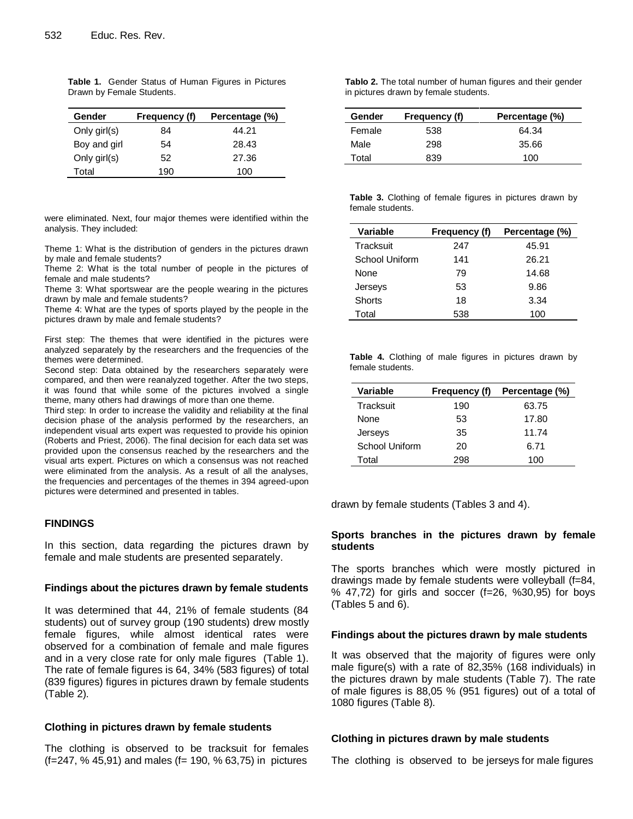| Gender       | Frequency (f) | Percentage (%) |
|--------------|---------------|----------------|
| Only girl(s) | 84            | 44.21          |
| Boy and girl | 54            | 28.43          |
| Only girl(s) | 52            | 27.36          |
| Total        | 190           | 100            |

**Table 1.** Gender Status of Human Figures in Pictures Drawn by Female Students.

were eliminated. Next, four major themes were identified within the analysis. They included:

Theme 1: What is the distribution of genders in the pictures drawn by male and female students?

Theme 2: What is the total number of people in the pictures of female and male students?

Theme 3: What sportswear are the people wearing in the pictures drawn by male and female students?

Theme 4: What are the types of sports played by the people in the pictures drawn by male and female students?

First step: The themes that were identified in the pictures were analyzed separately by the researchers and the frequencies of the themes were determined.

Second step: Data obtained by the researchers separately were compared, and then were reanalyzed together. After the two steps, it was found that while some of the pictures involved a single theme, many others had drawings of more than one theme.

Third step: In order to increase the validity and reliability at the final decision phase of the analysis performed by the researchers, an independent visual arts expert was requested to provide his opinion (Roberts and Priest, 2006). The final decision for each data set was provided upon the consensus reached by the researchers and the visual arts expert. Pictures on which a consensus was not reached were eliminated from the analysis. As a result of all the analyses, the frequencies and percentages of the themes in 394 agreed-upon pictures were determined and presented in tables.

#### **FINDINGS**

In this section, data regarding the pictures drawn by female and male students are presented separately.

#### **Findings about the pictures drawn by female students**

It was determined that 44, 21% of female students (84 students) out of survey group (190 students) drew mostly female figures, while almost identical rates were observed for a combination of female and male figures and in a very close rate for only male figures (Table 1). The rate of female figures is 64, 34% (583 figures) of total (839 figures) figures in pictures drawn by female students (Table 2).

#### **Clothing in pictures drawn by female students**

The clothing is observed to be tracksuit for females (f=247, % 45,91) and males (f= 190, % 63,75) in pictures

**Tablo 2.** The total number of human figures and their gender in pictures drawn by female students.

| Gender | Frequency (f) | Percentage (%) |
|--------|---------------|----------------|
| Female | 538           | 64.34          |
| Male   | 298           | 35.66          |
| Total  | 839           | 100            |

**Table 3.** Clothing of female figures in pictures drawn by female students.

| Variable       | Frequency (f) | Percentage (%) |
|----------------|---------------|----------------|
| Tracksuit      | 247           | 45.91          |
| School Uniform | 141           | 26.21          |
| None           | 79            | 14.68          |
| Jerseys        | 53            | 9.86           |
| Shorts         | 18            | 3.34           |
| Total          | 538           | 100            |

**Table 4.** Clothing of male figures in pictures drawn by female students.

| <b>Variable</b> | Frequency (f) | Percentage (%) |
|-----------------|---------------|----------------|
| Tracksuit       | 190           | 63.75          |
| None            | 53            | 17.80          |
| Jerseys         | 35            | 11.74          |
| School Uniform  | 20            | 6.71           |
| Total           | 298           | 100            |

drawn by female students (Tables 3 and 4).

#### **Sports branches in the pictures drawn by female students**

The sports branches which were mostly pictured in drawings made by female students were volleyball (f=84, % 47,72) for girls and soccer (f=26, %30,95) for boys (Tables 5 and 6).

#### **Findings about the pictures drawn by male students**

It was observed that the majority of figures were only male figure(s) with a rate of 82,35% (168 individuals) in the pictures drawn by male students (Table 7). The rate of male figures is 88,05 % (951 figures) out of a total of 1080 figures (Table 8).

#### **Clothing in pictures drawn by male students**

The clothing is observed to be jerseys for male figures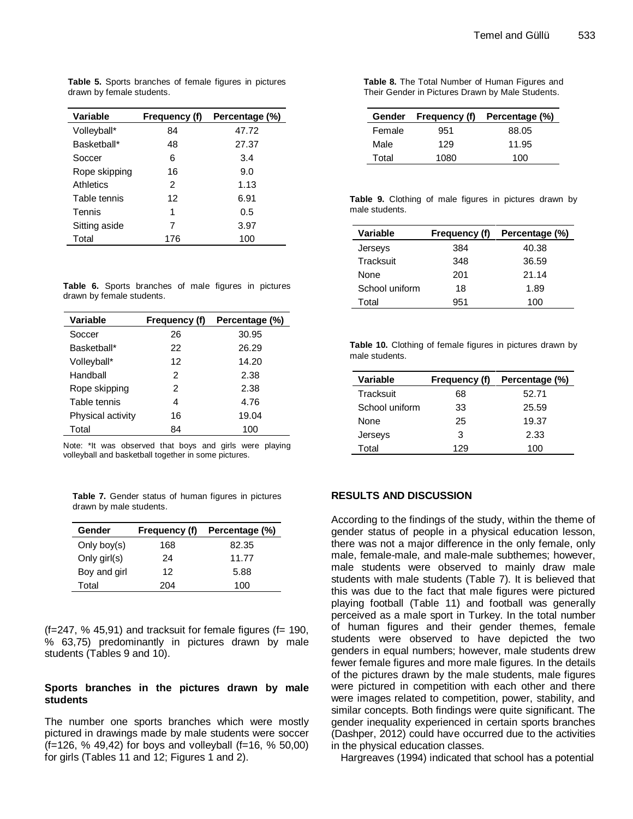**Table 5.** Sports branches of female figures in pictures drawn by female students.

| <b>Variable</b> | Frequency (f) | Percentage (%) |
|-----------------|---------------|----------------|
| Volleyball*     | 84            | 47.72          |
| Basketball*     | 48            | 27.37          |
| Soccer          | 6             | 3.4            |
| Rope skipping   | 16            | 9.0            |
| Athletics       | 2             | 1.13           |
| Table tennis    | 12            | 6.91           |
| Tennis          | 1             | 0.5            |
| Sitting aside   | 7             | 3.97           |
| Total           | 176           | 100            |

**Table 6.** Sports branches of male figures in pictures drawn by female students.

| Variable          | Frequency (f) | Percentage (%) |
|-------------------|---------------|----------------|
| Soccer            | 26            | 30.95          |
| Basketball*       | 22            | 26.29          |
| Volleyball*       | 12            | 14.20          |
| Handball          | 2             | 2.38           |
| Rope skipping     | 2             | 2.38           |
| Table tennis      | 4             | 4.76           |
| Physical activity | 16            | 19.04          |
| Total             | 84            | 100            |

Note: \*It was observed that boys and girls were playing volleyball and basketball together in some pictures.

|  |                         |  |  | Table 7. Gender status of human figures in pictures |
|--|-------------------------|--|--|-----------------------------------------------------|
|  | drawn by male students. |  |  |                                                     |

| Gender         | Frequency (f) | Percentage (%) |
|----------------|---------------|----------------|
| Only boy $(s)$ | 168           | 82.35          |
| Only girl(s)   | 24            | 11.77          |
| Boy and girl   | 12            | 5.88           |
| Total          | 204           | 100            |

 $(f=247, % 45.91)$  and tracksuit for female figures  $(f= 190,$ % 63,75) predominantly in pictures drawn by male students (Tables 9 and 10).

### **Sports branches in the pictures drawn by male students**

The number one sports branches which were mostly pictured in drawings made by male students were soccer (f=126, % 49,42) for boys and volleyball (f=16, % 50,00) for girls (Tables 11 and 12; Figures 1 and 2).

| Table 8. The Total Number of Human Figures and   |
|--------------------------------------------------|
| Their Gender in Pictures Drawn by Male Students. |

|        | Gender Frequency (f) | Percentage (%) |
|--------|----------------------|----------------|
| Female | 951                  | 88.05          |
| Male   | 129                  | 11.95          |
| Total  | 1080                 | 100            |

| Table 9. Clothing of male figures in pictures drawn by |  |  |  |  |
|--------------------------------------------------------|--|--|--|--|
| male students.                                         |  |  |  |  |

| Variable       | Frequency (f) | Percentage (%) |
|----------------|---------------|----------------|
| Jerseys        | 384           | 40.38          |
| Tracksuit      | 348           | 36.59          |
| None           | 201           | 21.14          |
| School uniform | 18            | 1.89           |
| Total          | 951           | 100            |

|                |  | <b>Table 10.</b> Clothing of female figures in pictures drawn by |  |
|----------------|--|------------------------------------------------------------------|--|
| male students. |  |                                                                  |  |

| Variable       | Frequency (f) | Percentage (%) |  |
|----------------|---------------|----------------|--|
| Tracksuit      | 68            | 52.71          |  |
| School uniform | 33            | 25.59          |  |
| None           | 25            | 19.37          |  |
| Jerseys        | 3             | 2.33           |  |
| Total          | 129           | 100            |  |

# **RESULTS AND DISCUSSION**

According to the findings of the study, within the theme of gender status of people in a physical education lesson, there was not a major difference in the only female, only male, female-male, and male-male subthemes; however, male students were observed to mainly draw male students with male students (Table 7). It is believed that this was due to the fact that male figures were pictured playing football (Table 11) and football was generally perceived as a male sport in Turkey. In the total number of human figures and their gender themes, female students were observed to have depicted the two genders in equal numbers; however, male students drew fewer female figures and more male figures. In the details of the pictures drawn by the male students, male figures were pictured in competition with each other and there were images related to competition, power, stability, and similar concepts. Both findings were quite significant. The gender inequality experienced in certain sports branches (Dashper, 2012) could have occurred due to the activities in the physical education classes.

Hargreaves (1994) indicated that school has a potential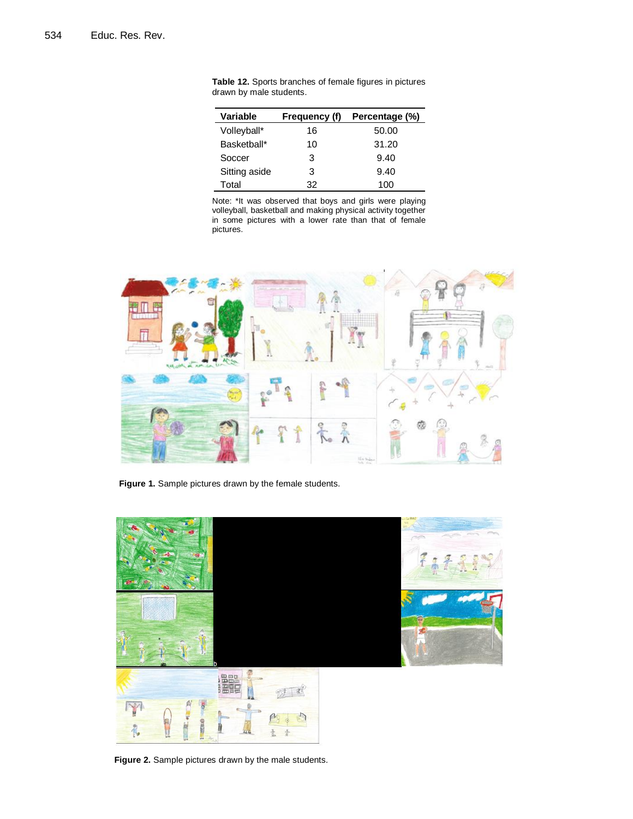| Variable      | Frequency (f) | Percentage (%) |  |
|---------------|---------------|----------------|--|
| Volleyball*   | 16            | 50.00          |  |
| Basketball*   | 10            | 31.20          |  |
| Soccer        | з             | 9.40           |  |
| Sitting aside | з             | 9.40           |  |
| Total         | 32            | 100            |  |

**Table 12.** Sports branches of female figures in pictures drawn by male students.

Note: \*It was observed that boys and girls were playing volleyball, basketball and making physical activity together in some pictures with a lower rate than that of female pictures.



**Figure 1.** Sample pictures drawn by the female students.



**Figure 2.** Sample pictures drawn by the male students.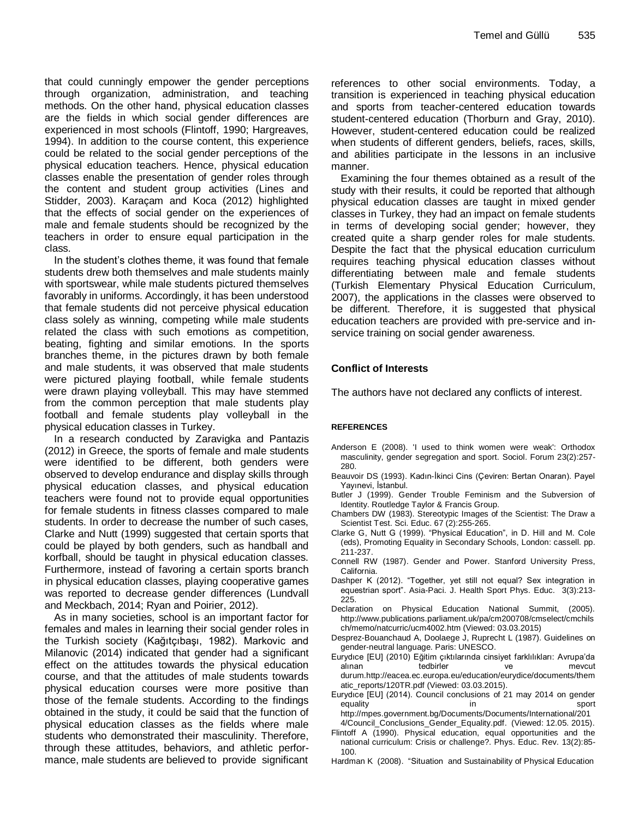that could cunningly empower the gender perceptions through organization, administration, and teaching methods. On the other hand, physical education classes are the fields in which social gender differences are experienced in most schools (Flintoff, 1990; Hargreaves, 1994). In addition to the course content, this experience could be related to the social gender perceptions of the physical education teachers. Hence, physical education classes enable the presentation of gender roles through the content and student group activities (Lines and Stidder, 2003). Karaçam and Koca (2012) highlighted that the effects of social gender on the experiences of male and female students should be recognized by the teachers in order to ensure equal participation in the class.

In the student's clothes theme, it was found that female students drew both themselves and male students mainly with sportswear, while male students pictured themselves favorably in uniforms. Accordingly, it has been understood that female students did not perceive physical education class solely as winning, competing while male students related the class with such emotions as competition, beating, fighting and similar emotions. In the sports branches theme, in the pictures drawn by both female and male students, it was observed that male students were pictured playing football, while female students were drawn playing volleyball. This may have stemmed from the common perception that male students play football and female students play volleyball in the physical education classes in Turkey.

In a research conducted by Zaravigka and Pantazis (2012) in Greece, the sports of female and male students were identified to be different, both genders were observed to develop endurance and display skills through physical education classes, and physical education teachers were found not to provide equal opportunities for female students in fitness classes compared to male students. In order to decrease the number of such cases, Clarke and Nutt (1999) suggested that certain sports that could be played by both genders, such as handball and korfball, should be taught in physical education classes. Furthermore, instead of favoring a certain sports branch in physical education classes, playing cooperative games was reported to decrease gender differences (Lundvall and Meckbach, 2014; Ryan and Poirier, 2012).

As in many societies, school is an important factor for females and males in learning their social gender roles in the Turkish society (Kağıtçıbaşı, 1982). Markovic and Milanovic (2014) indicated that gender had a significant effect on the attitudes towards the physical education course, and that the attitudes of male students towards physical education courses were more positive than those of the female students. According to the findings obtained in the study, it could be said that the function of physical education classes as the fields where male students who demonstrated their masculinity. Therefore, through these attitudes, behaviors, and athletic performance, male students are believed to provide significant references to other social environments. Today, a transition is experienced in teaching physical education and sports from teacher-centered education towards student-centered education (Thorburn and Gray, 2010). However, student-centered education could be realized when students of different genders, beliefs, races, skills, and abilities participate in the lessons in an inclusive manner.

Examining the four themes obtained as a result of the study with their results, it could be reported that although physical education classes are taught in mixed gender classes in Turkey, they had an impact on female students in terms of developing social gender; however, they created quite a sharp gender roles for male students. Despite the fact that the physical education curriculum requires teaching physical education classes without differentiating between male and female students (Turkish Elementary Physical Education Curriculum, 2007), the applications in the classes were observed to be different. Therefore, it is suggested that physical education teachers are provided with pre-service and inservice training on social gender awareness.

# **Conflict of Interests**

The authors have not declared any conflicts of interest.

#### **REFERENCES**

- Anderson E (2008). 'I used to think women were weak': Orthodox masculinity, gender segregation and sport. Sociol. Forum 23(2):257- 280.
- Beauvoir DS (1993). Kadın-İkinci Cins (Çeviren: Bertan Onaran). Payel Yayınevi, İstanbul.
- Butler J (1999). Gender Trouble Feminism and the Subversion of Identity. Routledge Taylor & Francis Group.
- Chambers DW (1983). Stereotypic Images of the Scientist: The Draw a Scientist Test. Sci. Educ. 67 (2):255-265.
- Clarke G, Nutt G (1999). "Physical Education", in D. Hill and M. Cole (eds), Promoting Equality in Secondary Schools, London: cassell. pp. 211-237.
- Connell RW (1987). Gender and Power. Stanford University Press, California.
- Dashper K (2012). "Together, yet still not equal? Sex integration in equestrian sport". Asia-Paci. J. Health Sport Phys. Educ. 3(3):213- 225.
- Declaration on Physical Education National Summit, (2005). http://www.publications.parliament.uk/pa/cm200708/cmselect/cmchils ch/memo/natcurric/ucm4002.htm (Viewed: 03.03.2015)
- Desprez-Bouanchaud A, Doolaege J, Ruprecht L (1987). Guidelines on gender-neutral language. Paris: UNESCO.
- Eurydıce [EU] (2010) Eğitim çıktılarında cinsiyet farklılıkları: Avrupa'da alınan tedbirler ve mevcut durum.http://eacea.ec.europa.eu/education/eurydice/documents/them atic\_reports/120TR.pdf (Viewed: 03.03.2015).
- Eurydıce [EU] (2014). Council conclusions of 21 may 2014 on gender equality in the sport of the sport of the sport sport of the sport of the sport of the sport http://mpes.government.bg/Documents/Documents/International/201
- 4/Council\_Conclusions\_Gender\_Equality.pdf. (Viewed: 12.05. 2015).
- Flintoff A (1990). Physical education, equal opportunities and the national curriculum: Crisis or challenge?. Phys. Educ. Rev. 13(2):85- 100.
- Hardman K (2008). "Situation and Sustainability of Physical Education